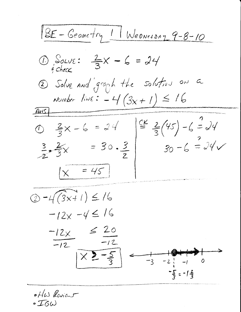BE-Geometry 1 WeavesDAY 9-8-10  $\circledR$  SOLVE:  $\frac{2}{3}x - 6 = 24$ 2 Solve and graph the solution on a Number line:  $-4(3x+1) \le 16$  $0 \frac{2}{3}x - 6 = 24 \frac{26}{3}(45) - 6 = 24$  $\frac{3}{2}\div\frac{2}{3}x = 30.3$   $\Bigg( \frac{1}{2} - \frac{1}{30} - \frac{2}{9} = 24$  $\boxed{x} = 45$  $(2) - 4(3x+1) \le 16$  $-12x - 4 \le 16$  $-12x$   $\leq$   $\frac{20}{-12}$  $\frac{1}{-12}$  $\frac{1}{x^{2}-\frac{5}{2}}$  $-2$  $-3$  $\circ$  $-\frac{5}{2} = -1\frac{2}{3}$ 

offer Review  $\circ$ IGW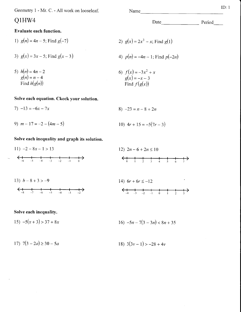Geometry 1 - Mr. C. - All work on looseleaf.

## Q1HW4

Evaluate each function.

1) 
$$
g(n) = 4n - 5
$$
; Find  $g(-7)$   
\n2)  $g(x) = 2x^3 - x$ ; Find  $g(1)$   
\n3)  $g(x) = 3x - 5$ ; Find  $g(x - 3)$   
\n4)  $p(n) = -4n - 1$ ; Find  $p(-2n)$ 

5) 
$$
h(n) = 4n - 2
$$
  
\n $g(n) = n - 4$   
\nFind  $h(g(n))$   
\n6)  $f(x) = -3x^2 + x$   
\n $g(x) = -x - 3$   
\nFind  $f(g(x))$ 

Solve each equation. Ckeck your solution.

$$
7) -13 = -6x - 7x \qquad \qquad 8) -23 = n - 8 + 2n
$$

9) 
$$
m-17 = -2 - (4m-5)
$$
  
10)  $4r + 15 = -5(7r - 3)$ 

## Solve each inequality and graph its solution.

11) 
$$
-2 - 8x - 1 > 13
$$
  
\n $\begin{array}{ccc}\n12 & 2n - 6 + 2n \le 10 \\
\hline\n6 & 1 & 2 & 3 & 4 & 5 & 6 & 7\n\end{array}$   
\n13)  $b - 8 + 3 > -9$   
\n $\begin{array}{ccc}\n13 & b - 8 + 3 > -9 \\
\hline\n8 & -7 & -6 & -5 & -4 & -3 & -2\n\end{array}$   
\n14)  $6r + 6r \le -12$ 

## Solve each inequality.

 $\sim 10^6$ 

-

$$
15) -5(x+3) > 37 + 8x
$$
  

$$
16) -5n -7(3-3n) < 8n + 35
$$

17)  $7(3 - 2a) \ge 30 - 5a$  18)  $3(3v - 1) > -28 + 4v$ 

Name

Date
leader and Period